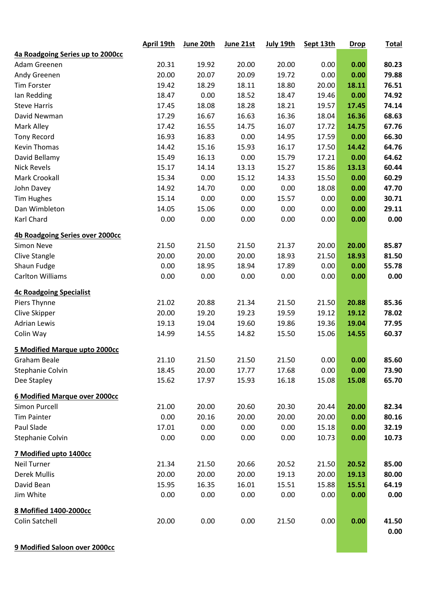|                                      | <b>April 19th</b> | June 20th | June 21st | July 19th | Sept 13th | <b>Drop</b> | <b>Total</b> |
|--------------------------------------|-------------------|-----------|-----------|-----------|-----------|-------------|--------------|
| 4a Roadgoing Series up to 2000cc     |                   |           |           |           |           |             |              |
| Adam Greenen                         | 20.31             | 19.92     | 20.00     | 20.00     | 0.00      | 0.00        | 80.23        |
| Andy Greenen                         | 20.00             | 20.07     | 20.09     | 19.72     | 0.00      | 0.00        | 79.88        |
| Tim Forster                          | 19.42             | 18.29     | 18.11     | 18.80     | 20.00     | 18.11       | 76.51        |
| Ian Redding                          | 18.47             | 0.00      | 18.52     | 18.47     | 19.46     | 0.00        | 74.92        |
| <b>Steve Harris</b>                  | 17.45             | 18.08     | 18.28     | 18.21     | 19.57     | 17.45       | 74.14        |
| David Newman                         | 17.29             | 16.67     | 16.63     | 16.36     | 18.04     | 16.36       | 68.63        |
| Mark Alley                           | 17.42             | 16.55     | 14.75     | 16.07     | 17.72     | 14.75       | 67.76        |
| <b>Tony Record</b>                   | 16.93             | 16.83     | 0.00      | 14.95     | 17.59     | 0.00        | 66.30        |
| <b>Kevin Thomas</b>                  | 14.42             | 15.16     | 15.93     | 16.17     | 17.50     | 14.42       | 64.76        |
| David Bellamy                        | 15.49             | 16.13     | 0.00      | 15.79     | 17.21     | 0.00        | 64.62        |
| <b>Nick Revels</b>                   | 15.17             | 14.14     | 13.13     | 15.27     | 15.86     | 13.13       | 60.44        |
| <b>Mark Crookall</b>                 | 15.34             | 0.00      | 15.12     | 14.33     | 15.50     | 0.00        | 60.29        |
| John Davey                           | 14.92             | 14.70     | 0.00      | 0.00      | 18.08     | 0.00        | 47.70        |
| <b>Tim Hughes</b>                    | 15.14             | 0.00      | 0.00      | 15.57     | 0.00      | 0.00        | 30.71        |
| Dan Wimbleton                        | 14.05             | 15.06     | 0.00      | 0.00      | 0.00      | 0.00        | 29.11        |
| Karl Chard                           | 0.00              | 0.00      | 0.00      | 0.00      | 0.00      | 0.00        | 0.00         |
| 4b Roadgoing Series over 2000cc      |                   |           |           |           |           |             |              |
| <b>Simon Neve</b>                    | 21.50             | 21.50     | 21.50     | 21.37     | 20.00     | 20.00       | 85.87        |
| Clive Stangle                        | 20.00             | 20.00     | 20.00     | 18.93     | 21.50     | 18.93       | 81.50        |
| Shaun Fudge                          | 0.00              | 18.95     | 18.94     | 17.89     | 0.00      | 0.00        | 55.78        |
| <b>Carlton Williams</b>              | 0.00              | 0.00      | 0.00      | 0.00      | 0.00      | 0.00        | 0.00         |
| <b>4c Roadgoing Specialist</b>       |                   |           |           |           |           |             |              |
| Piers Thynne                         | 21.02             | 20.88     | 21.34     | 21.50     | 21.50     | 20.88       | 85.36        |
| Clive Skipper                        | 20.00             | 19.20     | 19.23     | 19.59     | 19.12     | 19.12       | 78.02        |
| <b>Adrian Lewis</b>                  | 19.13             | 19.04     | 19.60     | 19.86     | 19.36     | 19.04       | 77.95        |
| Colin Way                            | 14.99             | 14.55     | 14.82     | 15.50     | 15.06     | 14.55       | 60.37        |
| 5 Modified Marque upto 2000cc        |                   |           |           |           |           |             |              |
| Graham Beale                         | 21.10             | 21.50     | 21.50     | 21.50     | 0.00      | 0.00        | 85.60        |
| Stephanie Colvin                     | 18.45             | 20.00     | 17.77     | 17.68     | 0.00      | 0.00        | 73.90        |
| Dee Stapley                          | 15.62             | 17.97     | 15.93     | 16.18     | 15.08     | 15.08       | 65.70        |
| <b>6 Modified Marque over 2000cc</b> |                   |           |           |           |           |             |              |
| Simon Purcell                        | 21.00             | 20.00     | 20.60     | 20.30     | 20.44     | 20.00       | 82.34        |
| <b>Tim Painter</b>                   | 0.00              | 20.16     | 20.00     | 20.00     | 20.00     | 0.00        | 80.16        |
| Paul Slade                           | 17.01             | 0.00      | 0.00      | 0.00      | 15.18     | 0.00        | 32.19        |
| Stephanie Colvin                     | 0.00              | 0.00      | 0.00      | 0.00      | 10.73     | 0.00        | 10.73        |
| 7 Modified upto 1400cc               |                   |           |           |           |           |             |              |
| <b>Neil Turner</b>                   | 21.34             | 21.50     | 20.66     | 20.52     | 21.50     | 20.52       | 85.00        |
| <b>Derek Mullis</b>                  | 20.00             | 20.00     | 20.00     | 19.13     | 20.00     | 19.13       | 80.00        |
| David Bean                           | 15.95             | 16.35     | 16.01     | 15.51     | 15.88     | 15.51       | 64.19        |
| Jim White                            | 0.00              | 0.00      | 0.00      | 0.00      | 0.00      | 0.00        | 0.00         |
| 8 Mofified 1400-2000cc               |                   |           |           |           |           |             |              |
| Colin Satchell                       | 20.00             | 0.00      | 0.00      | 21.50     | 0.00      | 0.00        | 41.50        |
|                                      |                   |           |           |           |           |             | 0.00         |

**9 Modified Saloon over 2000cc**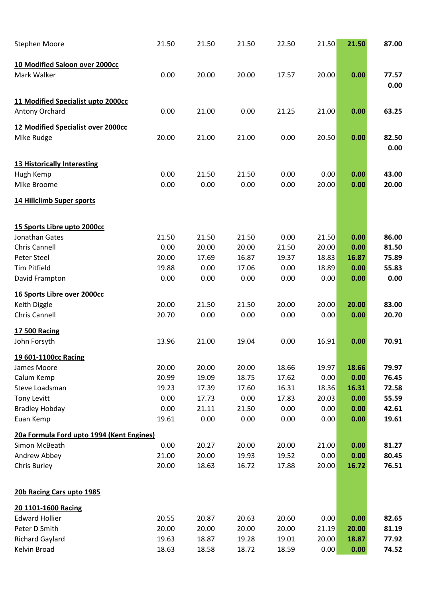| <b>Stephen Moore</b>                      | 21.50 | 21.50 | 21.50 | 22.50 | 21.50 | 21.50 | 87.00         |
|-------------------------------------------|-------|-------|-------|-------|-------|-------|---------------|
| 10 Modified Saloon over 2000cc            |       |       |       |       |       |       |               |
| Mark Walker                               | 0.00  | 20.00 | 20.00 | 17.57 | 20.00 | 0.00  | 77.57<br>0.00 |
| 11 Modified Specialist upto 2000cc        |       |       |       |       |       |       |               |
| Antony Orchard                            | 0.00  | 21.00 | 0.00  | 21.25 | 21.00 | 0.00  | 63.25         |
| <b>12 Modified Specialist over 2000cc</b> |       |       |       |       |       |       |               |
| Mike Rudge                                | 20.00 | 21.00 | 21.00 | 0.00  | 20.50 | 0.00  | 82.50<br>0.00 |
| <b>13 Historically Interesting</b>        |       |       |       |       |       |       |               |
| Hugh Kemp                                 | 0.00  | 21.50 | 21.50 | 0.00  | 0.00  | 0.00  | 43.00         |
| Mike Broome                               | 0.00  | 0.00  | 0.00  | 0.00  | 20.00 | 0.00  | 20.00         |
| 14 Hillclimb Super sports                 |       |       |       |       |       |       |               |
| 15 Sports Libre upto 2000cc               |       |       |       |       |       |       |               |
| Jonathan Gates                            | 21.50 | 21.50 | 21.50 | 0.00  | 21.50 | 0.00  | 86.00         |
| Chris Cannell                             | 0.00  | 20.00 | 20.00 | 21.50 | 20.00 | 0.00  | 81.50         |
| Peter Steel                               | 20.00 | 17.69 | 16.87 | 19.37 | 18.83 | 16.87 | 75.89         |
| <b>Tim Pitfield</b>                       | 19.88 | 0.00  | 17.06 | 0.00  | 18.89 | 0.00  | 55.83         |
| David Frampton                            | 0.00  | 0.00  | 0.00  | 0.00  | 0.00  | 0.00  | 0.00          |
| 16 Sports Libre over 2000cc               |       |       |       |       |       |       |               |
| Keith Diggle                              | 20.00 | 21.50 | 21.50 | 20.00 | 20.00 | 20.00 | 83.00         |
| <b>Chris Cannell</b>                      | 20.70 | 0.00  | 0.00  | 0.00  | 0.00  | 0.00  | 20.70         |
| <b>17 500 Racing</b>                      |       |       |       |       |       |       |               |
| John Forsyth                              | 13.96 | 21.00 | 19.04 | 0.00  | 16.91 | 0.00  | 70.91         |
| 19 601-1100cc Racing                      |       |       |       |       |       |       |               |
| James Moore                               | 20.00 | 20.00 | 20.00 | 18.66 | 19.97 | 18.66 | 79.97         |
| Calum Kemp                                | 20.99 | 19.09 | 18.75 | 17.62 | 0.00  | 0.00  | 76.45         |
| Steve Loadsman                            | 19.23 | 17.39 | 17.60 | 16.31 | 18.36 | 16.31 | 72.58         |
| <b>Tony Levitt</b>                        | 0.00  | 17.73 | 0.00  | 17.83 | 20.03 | 0.00  | 55.59         |
| <b>Bradley Hobday</b>                     | 0.00  | 21.11 | 21.50 | 0.00  | 0.00  | 0.00  | 42.61         |
| Euan Kemp                                 | 19.61 | 0.00  | 0.00  | 0.00  | 0.00  | 0.00  | 19.61         |
| 20a Formula Ford upto 1994 (Kent Engines) |       |       |       |       |       |       |               |
| Simon McBeath                             | 0.00  | 20.27 | 20.00 | 20.00 | 21.00 | 0.00  | 81.27         |
| Andrew Abbey                              | 21.00 | 20.00 | 19.93 | 19.52 | 0.00  | 0.00  | 80.45         |
| Chris Burley                              | 20.00 | 18.63 | 16.72 | 17.88 | 20.00 | 16.72 | 76.51         |
| 20b Racing Cars upto 1985                 |       |       |       |       |       |       |               |
| 20 1101-1600 Racing                       |       |       |       |       |       |       |               |
| <b>Edward Hollier</b>                     | 20.55 | 20.87 | 20.63 | 20.60 | 0.00  | 0.00  | 82.65         |
| Peter D Smith                             | 20.00 | 20.00 | 20.00 | 20.00 | 21.19 | 20.00 | 81.19         |
| <b>Richard Gaylard</b>                    | 19.63 | 18.87 | 19.28 | 19.01 | 20.00 | 18.87 | 77.92         |
| Kelvin Broad                              | 18.63 | 18.58 | 18.72 | 18.59 | 0.00  | 0.00  | 74.52         |